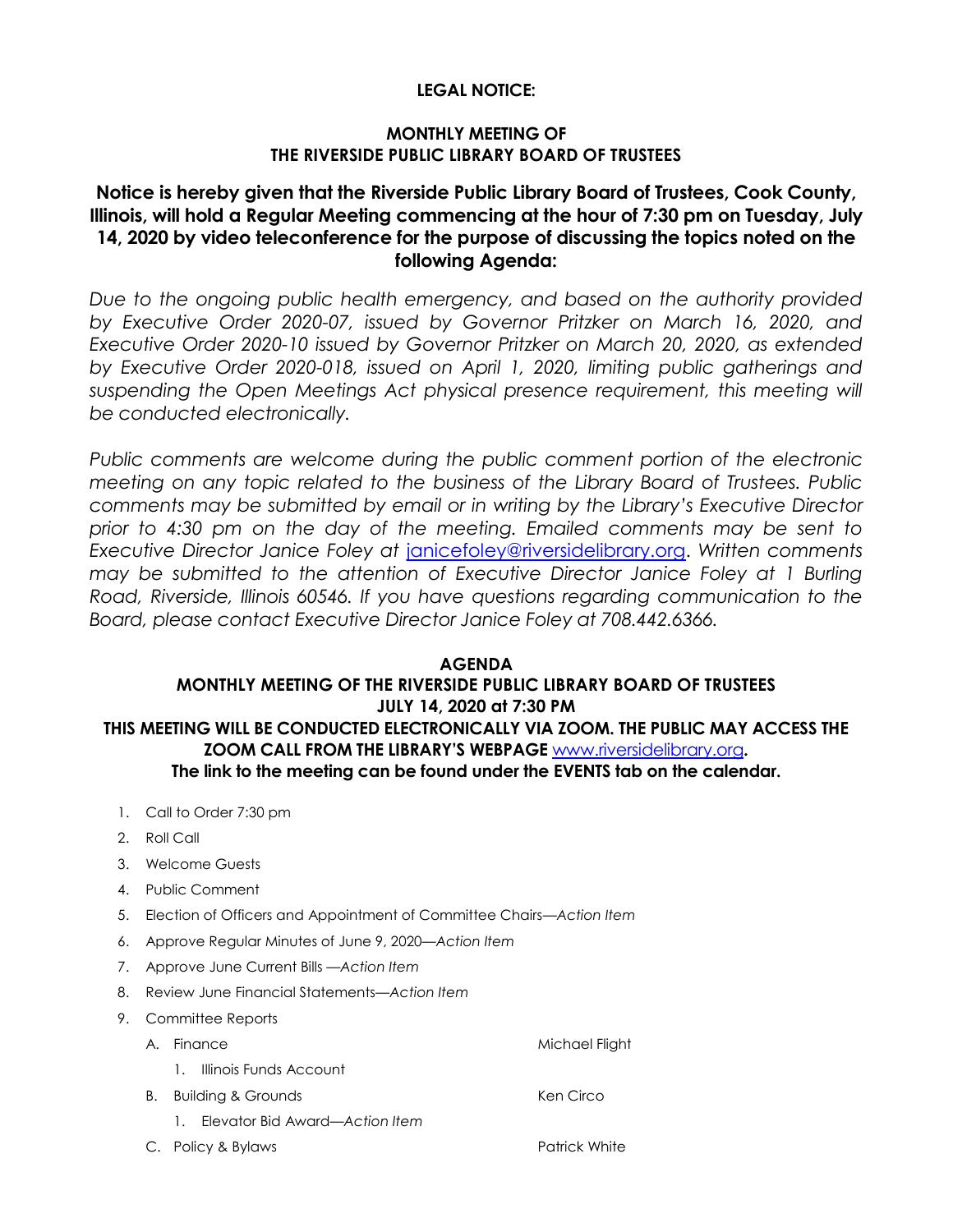# **LEGAL NOTICE:**

# **MONTHLY MEETING OF THE RIVERSIDE PUBLIC LIBRARY BOARD OF TRUSTEES**

# **Notice is hereby given that the Riverside Public Library Board of Trustees, Cook County, Illinois, will hold a Regular Meeting commencing at the hour of 7:30 pm on Tuesday, July 14, 2020 by video teleconference for the purpose of discussing the topics noted on the following Agenda:**

*Due to the ongoing public health emergency, and based on the authority provided by Executive Order 2020-07, issued by Governor Pritzker on March 16, 2020, and Executive Order 2020-10 issued by Governor Pritzker on March 20, 2020, as extended by Executive Order 2020-018, issued on April 1, 2020, limiting public gatherings and*  suspending the Open Meetings Act physical presence requirement, this meeting will *be conducted electronically.* 

*Public comments are welcome during the public comment portion of the electronic meeting on any topic related to the business of the Library Board of Trustees. Public comments may be submitted by email or in writing by the Library's Executive Director prior to 4:30 pm on the day of the meeting. Emailed comments may be sent to Executive Director Janice Foley at* [janicefoley@riversidelibrary.org.](mailto:janicefoley@riversidelibrary.org) *Written comments may be submitted to the attention of Executive Director Janice Foley at 1 Burling Road, Riverside, Illinois 60546. If you have questions regarding communication to the Board, please contact Executive Director Janice Foley at 708.442.6366.* 

#### **AGENDA MONTHLY MEETING OF THE RIVERSIDE PUBLIC LIBRARY BOARD OF TRUSTEES JULY 14, 2020 at 7:30 PM THIS MEETING WILL BE CONDUCTED ELECTRONICALLY VIA ZOOM. THE PUBLIC MAY ACCESS THE ZOOM CALL FROM THE LIBRARY'S WEBPAGE** [www.riversidelibrary.org](http://www.riversidelibrary.org/)**. The link to the meeting can be found under the EVENTS tab on the calendar.**

- 1. Call to Order 7:30 pm
- 2. Roll Call
- 3. Welcome Guests
- 4. Public Comment
- 5. Election of Officers and Appointment of Committee Chairs—*Action Item*
- 6. Approve Regular Minutes of June 9, 2020*—Action Item*
- 7. Approve June Current Bills —*Action Item*
- 8. Review June Financial Statements—*Action Item*
- 9. Committee Reports
	- A. Finance Michael Flight
		- 1. Illinois Funds Account
	- B. Building & Grounds Ken Circo
		- 1. Elevator Bid Award—*Action Item*
	- C. Policy & Bylaws **Patrick White** Patrick White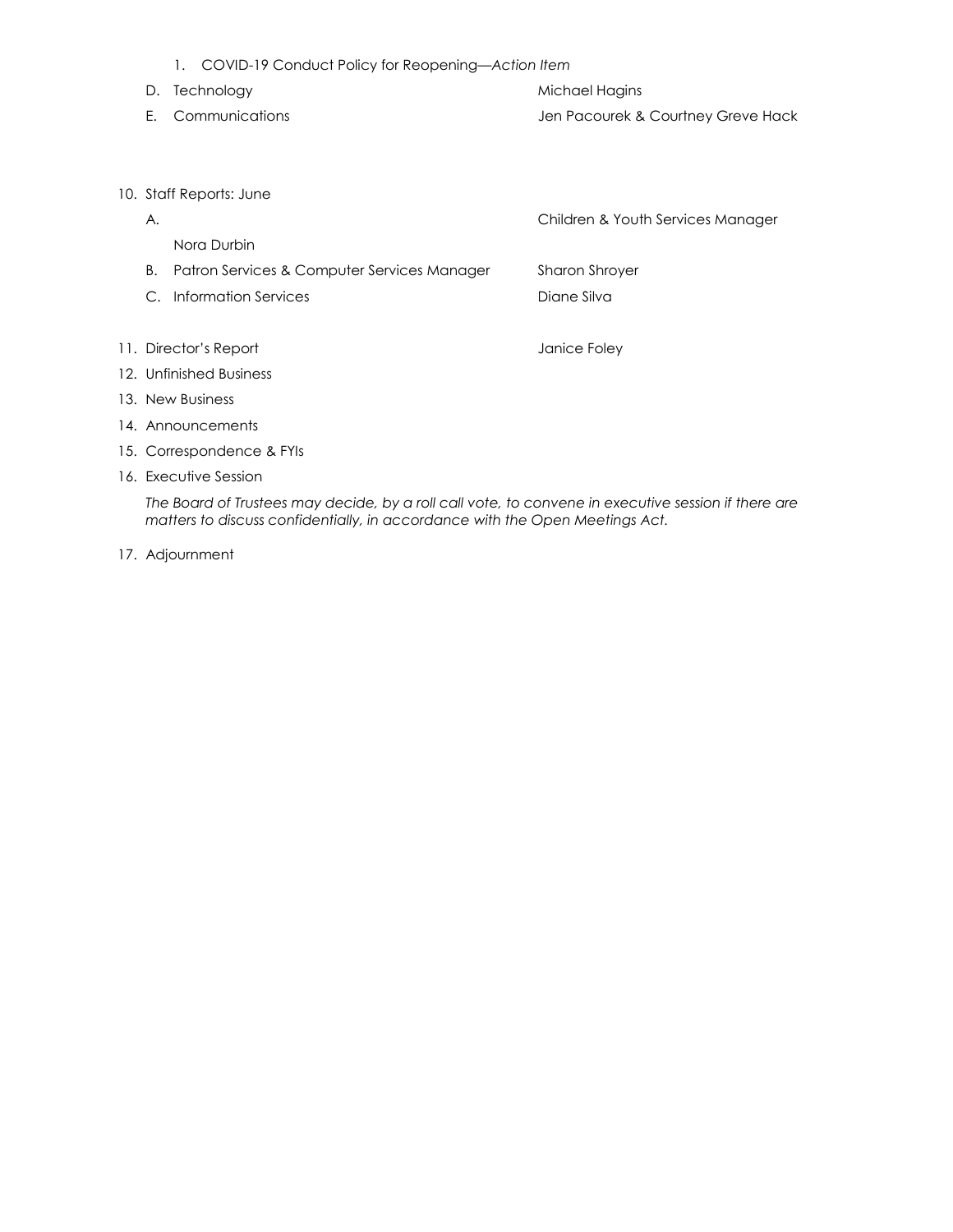|                           | 1. COVID-19 Conduct Policy for Reopening-Action Item |                                    |
|---------------------------|------------------------------------------------------|------------------------------------|
| D.                        | Technology                                           | Michael Hagins                     |
| Е.                        | Communications                                       | Jen Pacourek & Courtney Greve Hack |
|                           |                                                      |                                    |
|                           |                                                      |                                    |
| 10. Staff Reports: June   |                                                      |                                    |
| Α.                        |                                                      | Children & Youth Services Manager  |
|                           | Nora Durbin                                          |                                    |
| В.                        | Patron Services & Computer Services Manager          | Sharon Shroyer                     |
| C.                        | <b>Information Services</b>                          | Diane Silva                        |
|                           |                                                      |                                    |
| 11. Director's Report     |                                                      | Janice Foley                       |
| 12. Unfinished Business   |                                                      |                                    |
| 13. New Business          |                                                      |                                    |
| 14. Announcements         |                                                      |                                    |
| 15. Correspondence & FYIs |                                                      |                                    |
| 16. Executive Session     |                                                      |                                    |
|                           |                                                      |                                    |

*The Board of Trustees may decide, by a roll call vote, to convene in executive session if there are matters to discuss confidentially, in accordance with the Open Meetings Act.*

17. Adjournment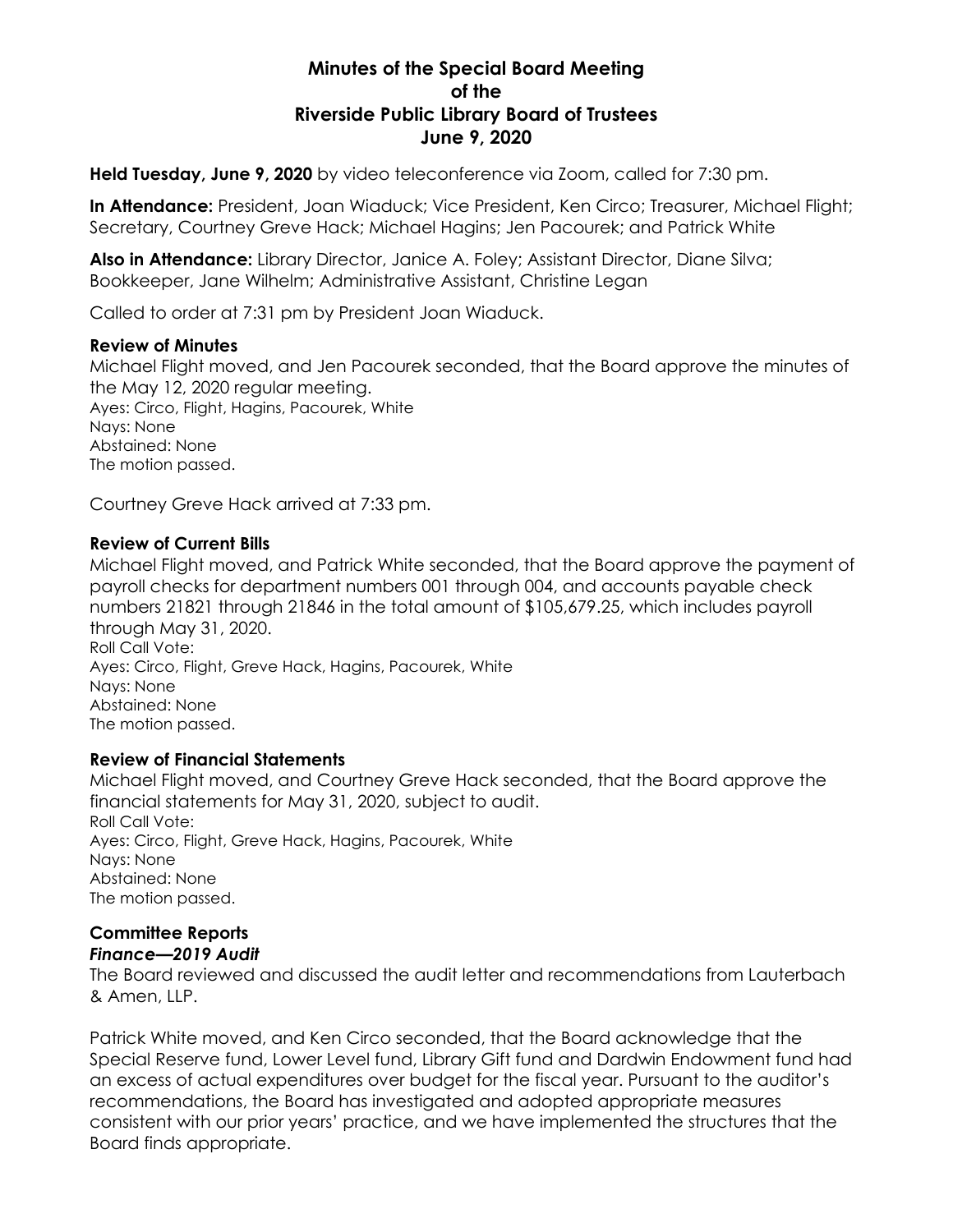# **Minutes of the Special Board Meeting of the Riverside Public Library Board of Trustees June 9, 2020**

**Held Tuesday, June 9, 2020** by video teleconference via Zoom, called for 7:30 pm.

**In Attendance:** President, Joan Wiaduck; Vice President, Ken Circo; Treasurer, Michael Flight; Secretary, Courtney Greve Hack; Michael Hagins; Jen Pacourek; and Patrick White

**Also in Attendance:** Library Director, Janice A. Foley; Assistant Director, Diane Silva; Bookkeeper, Jane Wilhelm; Administrative Assistant, Christine Legan

Called to order at 7:31 pm by President Joan Wiaduck.

#### **Review of Minutes**

Michael Flight moved, and Jen Pacourek seconded, that the Board approve the minutes of the May 12, 2020 regular meeting. Ayes: Circo, Flight, Hagins, Pacourek, White Nays: None Abstained: None The motion passed.

Courtney Greve Hack arrived at 7:33 pm.

#### **Review of Current Bills**

Michael Flight moved, and Patrick White seconded, that the Board approve the payment of payroll checks for department numbers 001 through 004, and accounts payable check numbers 21821 through 21846 in the total amount of \$105,679.25, which includes payroll through May 31, 2020. Roll Call Vote: Ayes: Circo, Flight, Greve Hack, Hagins, Pacourek, White Nays: None Abstained: None

The motion passed.

### **Review of Financial Statements**

Michael Flight moved, and Courtney Greve Hack seconded, that the Board approve the financial statements for May 31, 2020, subject to audit. Roll Call Vote: Ayes: Circo, Flight, Greve Hack, Hagins, Pacourek, White Nays: None Abstained: None The motion passed.

#### **Committee Reports** *Finance—2019 Audit*

The Board reviewed and discussed the audit letter and recommendations from Lauterbach & Amen, IIP.

Patrick White moved, and Ken Circo seconded, that the Board acknowledge that the Special Reserve fund, Lower Level fund, Library Gift fund and Dardwin Endowment fund had an excess of actual expenditures over budget for the fiscal year. Pursuant to the auditor's recommendations, the Board has investigated and adopted appropriate measures consistent with our prior years' practice, and we have implemented the structures that the Board finds appropriate.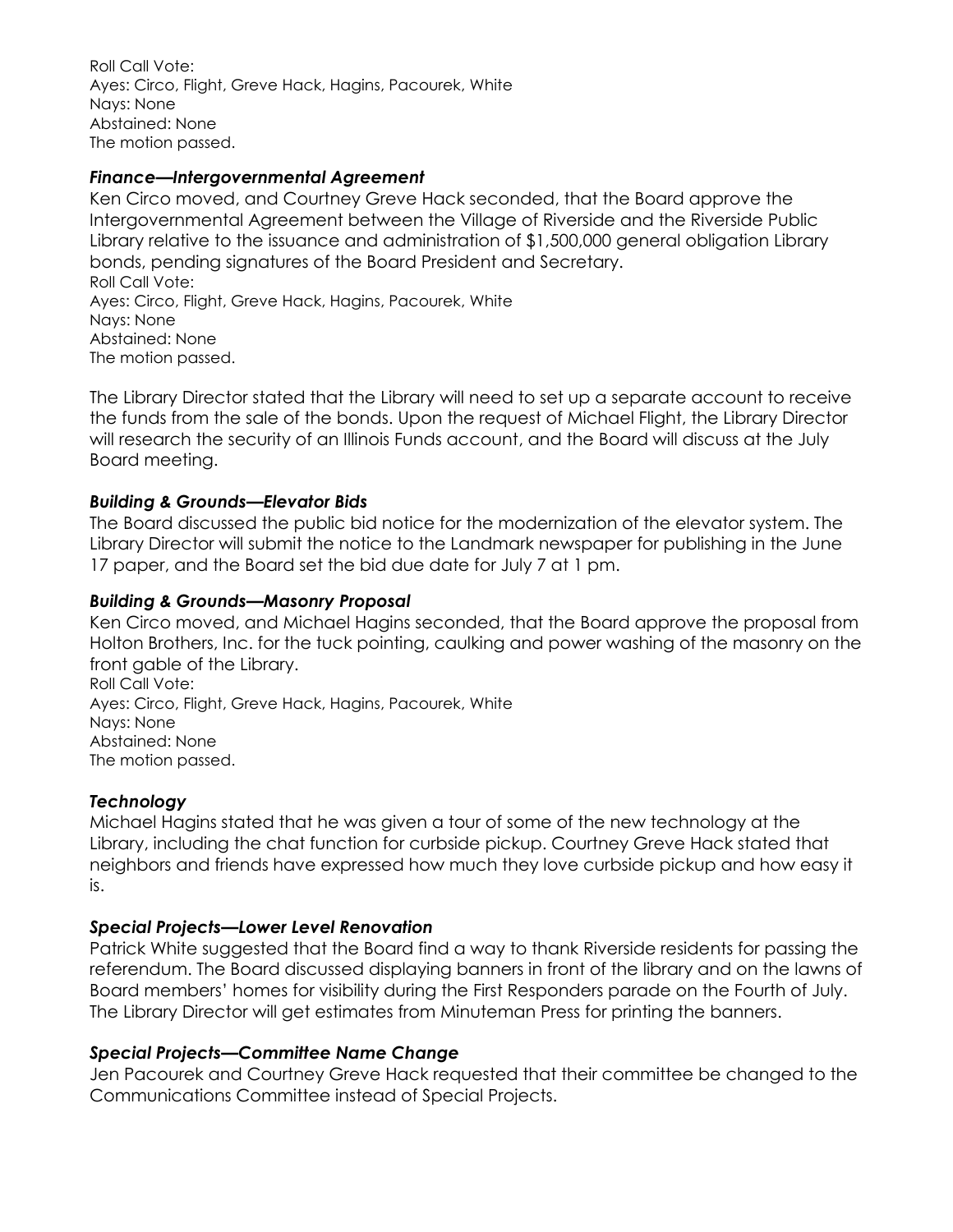Roll Call Vote: Ayes: Circo, Flight, Greve Hack, Hagins, Pacourek, White Nays: None Abstained: None The motion passed.

# *Finance—Intergovernmental Agreement*

Ken Circo moved, and Courtney Greve Hack seconded, that the Board approve the Intergovernmental Agreement between the Village of Riverside and the Riverside Public Library relative to the issuance and administration of \$1,500,000 general obligation Library bonds, pending signatures of the Board President and Secretary. Roll Call Vote: Ayes: Circo, Flight, Greve Hack, Hagins, Pacourek, White Nays: None Abstained: None The motion passed.

The Library Director stated that the Library will need to set up a separate account to receive the funds from the sale of the bonds. Upon the request of Michael Flight, the Library Director will research the security of an Illinois Funds account, and the Board will discuss at the July Board meeting.

# *Building & Grounds—Elevator Bids*

The Board discussed the public bid notice for the modernization of the elevator system. The Library Director will submit the notice to the Landmark newspaper for publishing in the June 17 paper, and the Board set the bid due date for July 7 at 1 pm.

# *Building & Grounds—Masonry Proposal*

Ken Circo moved, and Michael Hagins seconded, that the Board approve the proposal from Holton Brothers, Inc. for the tuck pointing, caulking and power washing of the masonry on the front gable of the Library. Roll Call Vote: Ayes: Circo, Flight, Greve Hack, Hagins, Pacourek, White Nays: None Abstained: None

The motion passed.

### *Technology*

Michael Hagins stated that he was given a tour of some of the new technology at the Library, including the chat function for curbside pickup. Courtney Greve Hack stated that neighbors and friends have expressed how much they love curbside pickup and how easy it is.

### *Special Projects—Lower Level Renovation*

Patrick White suggested that the Board find a way to thank Riverside residents for passing the referendum. The Board discussed displaying banners in front of the library and on the lawns of Board members' homes for visibility during the First Responders parade on the Fourth of July. The Library Director will get estimates from Minuteman Press for printing the banners.

### *Special Projects—Committee Name Change*

Jen Pacourek and Courtney Greve Hack requested that their committee be changed to the Communications Committee instead of Special Projects.